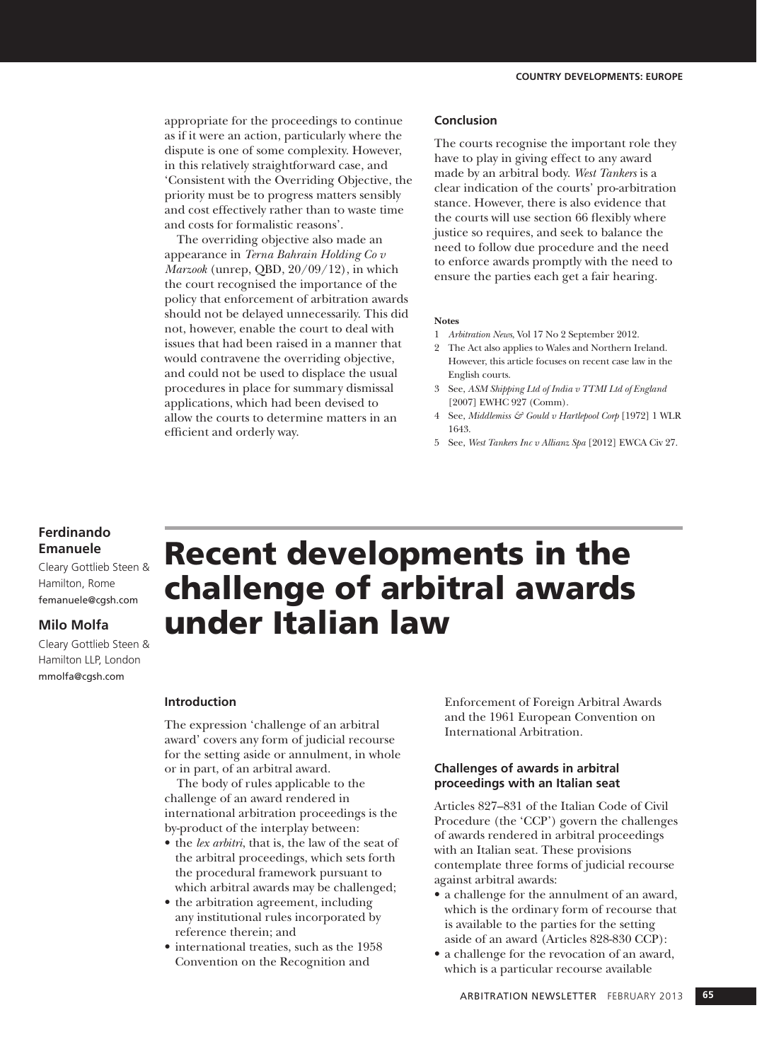appropriate for the proceedings to continue as if it were an action, particularly where the dispute is one of some complexity. However, in this relatively straightforward case, and 'Consistent with the Overriding Objective, the priority must be to progress matters sensibly and cost effectively rather than to waste time and costs for formalistic reasons'.

The overriding objective also made an appearance in *Terna Bahrain Holding Co v Marzook* (unrep, QBD, 20/09/12), in which the court recognised the importance of the policy that enforcement of arbitration awards should not be delayed unnecessarily. This did not, however, enable the court to deal with issues that had been raised in a manner that would contravene the overriding objective, and could not be used to displace the usual procedures in place for summary dismissal applications, which had been devised to allow the courts to determine matters in an efficient and orderly way.

#### **Conclusion**

The courts recognise the important role they have to play in giving effect to any award made by an arbitral body. *West Tankers* is a clear indication of the courts' pro-arbitration stance. However, there is also evidence that the courts will use section 66 flexibly where justice so requires, and seek to balance the need to follow due procedure and the need to enforce awards promptly with the need to ensure the parties each get a fair hearing.

#### **Notes**

- 1 *Arbitration News*, Vol 17 No 2 September 2012.
- 2 The Act also applies to Wales and Northern Ireland. However, this article focuses on recent case law in the English courts.
- 3 See, *ASM Shipping Ltd of India v TTMI Ltd of England* [2007] EWHC 927 (Comm).
- 4 See, *Middlemiss & Gould v Hartlepool Corp* [1972] 1 WLR 1643.
- 5 See, *West Tankers Inc v Allianz Spa* [2012] EWCA Civ 27.

# **Ferdinando Emanuele**

Cleary Gottlieb Steen & Hamilton, Rome femanuele@cgsh.com

## **Milo Molfa**

Cleary Gottlieb Steen & Hamilton LLP, London mmolfa@cgsh.com

# Recent developments in the challenge of arbitral awards under Italian law

### **Introduction**

The expression 'challenge of an arbitral award' covers any form of judicial recourse for the setting aside or annulment, in whole or in part, of an arbitral award.

The body of rules applicable to the challenge of an award rendered in international arbitration proceedings is the by-product of the interplay between:

- the *lex arbitri*, that is, the law of the seat of the arbitral proceedings, which sets forth the procedural framework pursuant to which arbitral awards may be challenged;
- the arbitration agreement, including any institutional rules incorporated by reference therein; and
- international treaties, such as the 1958 Convention on the Recognition and

Enforcement of Foreign Arbitral Awards and the 1961 European Convention on International Arbitration.

## **Challenges of awards in arbitral proceedings with an Italian seat**

Articles 827–831 of the Italian Code of Civil Procedure (the 'CCP') govern the challenges of awards rendered in arbitral proceedings with an Italian seat. These provisions contemplate three forms of judicial recourse against arbitral awards:

- • a challenge for the annulment of an award, which is the ordinary form of recourse that is available to the parties for the setting aside of an award (Articles 828-830 CCP):
- a challenge for the revocation of an award, which is a particular recourse available

ARBITRATION NEWSLETTER FEBRUARY 2013 **65**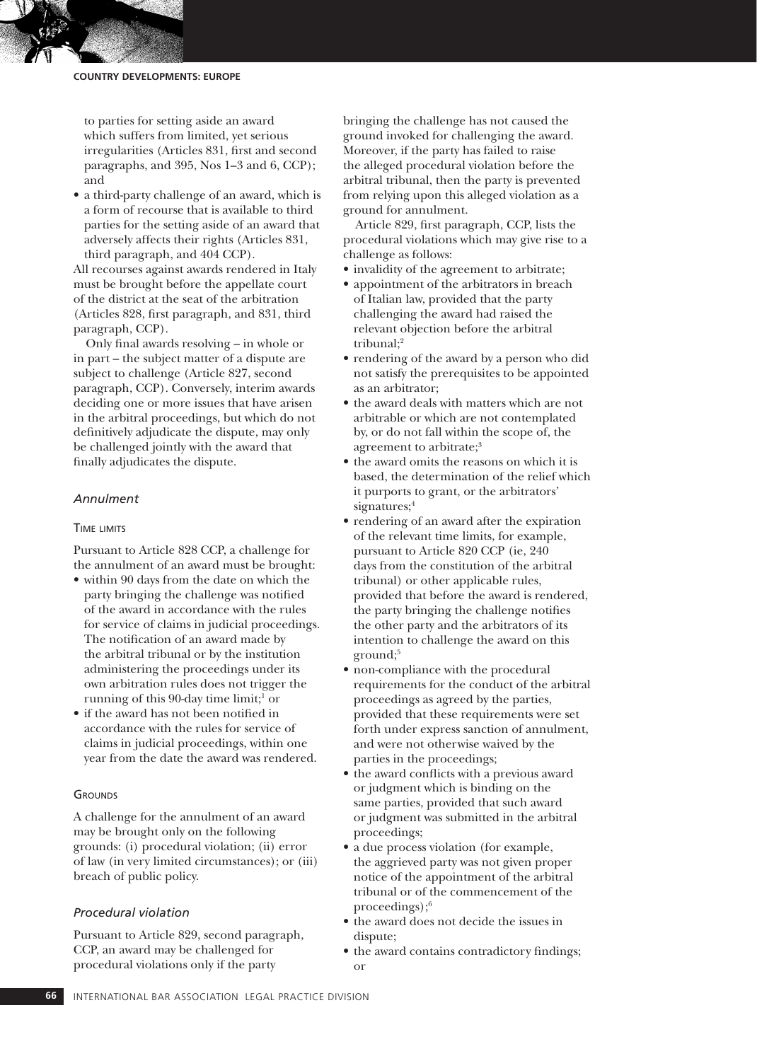to parties for setting aside an award which suffers from limited, yet serious irregularities (Articles 831, first and second paragraphs, and 395, Nos 1–3 and 6, CCP); and

• a third-party challenge of an award, which is a form of recourse that is available to third parties for the setting aside of an award that adversely affects their rights (Articles 831, third paragraph, and 404 CCP).

All recourses against awards rendered in Italy must be brought before the appellate court of the district at the seat of the arbitration (Articles 828, first paragraph, and 831, third paragraph, CCP).

Only final awards resolving – in whole or in part – the subject matter of a dispute are subject to challenge (Article 827, second paragraph, CCP). Conversely, interim awards deciding one or more issues that have arisen in the arbitral proceedings, but which do not definitively adjudicate the dispute, may only be challenged jointly with the award that finally adjudicates the dispute.

#### *Annulment*

#### Time limits

Pursuant to Article 828 CCP, a challenge for the annulment of an award must be brought:

- • within 90 days from the date on which the party bringing the challenge was notified of the award in accordance with the rules for service of claims in judicial proceedings. The notification of an award made by the arbitral tribunal or by the institution administering the proceedings under its own arbitration rules does not trigger the running of this 90-day time limit;<sup>1</sup> or
- • if the award has not been notified in accordance with the rules for service of claims in judicial proceedings, within one year from the date the award was rendered.

#### **GROUNDS**

A challenge for the annulment of an award may be brought only on the following grounds: (i) procedural violation; (ii) error of law (in very limited circumstances); or (iii) breach of public policy.

#### *Procedural violation*

Pursuant to Article 829, second paragraph, CCP, an award may be challenged for procedural violations only if the party

bringing the challenge has not caused the ground invoked for challenging the award. Moreover, if the party has failed to raise the alleged procedural violation before the arbitral tribunal, then the party is prevented from relying upon this alleged violation as a ground for annulment.

Article 829, first paragraph, CCP, lists the procedural violations which may give rise to a challenge as follows:

- invalidity of the agreement to arbitrate;
- • appointment of the arbitrators in breach of Italian law, provided that the party challenging the award had raised the relevant objection before the arbitral tribunal;<sup>2</sup>
- • rendering of the award by a person who did not satisfy the prerequisites to be appointed as an arbitrator;
- the award deals with matters which are not arbitrable or which are not contemplated by, or do not fall within the scope of, the agreement to arbitrate;<sup>3</sup>
- the award omits the reasons on which it is based, the determination of the relief which it purports to grant, or the arbitrators' signatures;<sup>4</sup>
- • rendering of an award after the expiration of the relevant time limits, for example, pursuant to Article 820 CCP (ie, 240 days from the constitution of the arbitral tribunal) or other applicable rules, provided that before the award is rendered, the party bringing the challenge notifies the other party and the arbitrators of its intention to challenge the award on this ground;5
- non-compliance with the procedural requirements for the conduct of the arbitral proceedings as agreed by the parties, provided that these requirements were set forth under express sanction of annulment, and were not otherwise waived by the parties in the proceedings;
- • the award conflicts with a previous award or judgment which is binding on the same parties, provided that such award or judgment was submitted in the arbitral proceedings;
- a due process violation (for example, the aggrieved party was not given proper notice of the appointment of the arbitral tribunal or of the commencement of the proceedings);6
- the award does not decide the issues in dispute;
- the award contains contradictory findings; or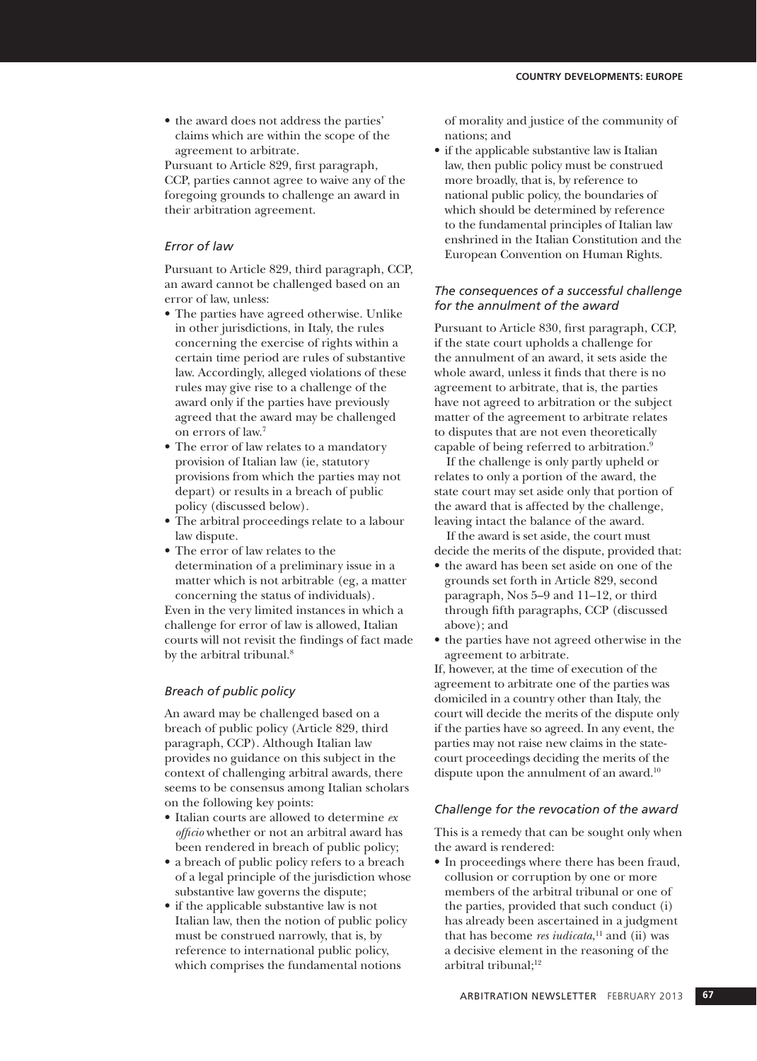• the award does not address the parties' claims which are within the scope of the agreement to arbitrate.

Pursuant to Article 829, first paragraph, CCP, parties cannot agree to waive any of the foregoing grounds to challenge an award in their arbitration agreement.

#### *Error of law*

Pursuant to Article 829, third paragraph, CCP, an award cannot be challenged based on an error of law, unless:

- The parties have agreed otherwise. Unlike in other jurisdictions, in Italy, the rules concerning the exercise of rights within a certain time period are rules of substantive law. Accordingly, alleged violations of these rules may give rise to a challenge of the award only if the parties have previously agreed that the award may be challenged on errors of law.7
- • The error of law relates to a mandatory provision of Italian law (ie, statutory provisions from which the parties may not depart) or results in a breach of public policy (discussed below).
- • The arbitral proceedings relate to a labour law dispute.
- • The error of law relates to the determination of a preliminary issue in a matter which is not arbitrable (eg, a matter concerning the status of individuals).

Even in the very limited instances in which a challenge for error of law is allowed, Italian courts will not revisit the findings of fact made by the arbitral tribunal.<sup>8</sup>

#### *Breach of public policy*

An award may be challenged based on a breach of public policy (Article 829, third paragraph, CCP). Although Italian law provides no guidance on this subject in the context of challenging arbitral awards, there seems to be consensus among Italian scholars on the following key points:

- • Italian courts are allowed to determine *ex officio* whether or not an arbitral award has been rendered in breach of public policy;
- a breach of public policy refers to a breach of a legal principle of the jurisdiction whose substantive law governs the dispute;
- if the applicable substantive law is not Italian law, then the notion of public policy must be construed narrowly, that is, by reference to international public policy, which comprises the fundamental notions

of morality and justice of the community of nations; and

• if the applicable substantive law is Italian law, then public policy must be construed more broadly, that is, by reference to national public policy, the boundaries of which should be determined by reference to the fundamental principles of Italian law enshrined in the Italian Constitution and the European Convention on Human Rights.

#### *The consequences of a successful challenge for the annulment of the award*

Pursuant to Article 830, first paragraph, CCP, if the state court upholds a challenge for the annulment of an award, it sets aside the whole award, unless it finds that there is no agreement to arbitrate, that is, the parties have not agreed to arbitration or the subject matter of the agreement to arbitrate relates to disputes that are not even theoretically capable of being referred to arbitration.9

If the challenge is only partly upheld or relates to only a portion of the award, the state court may set aside only that portion of the award that is affected by the challenge, leaving intact the balance of the award.

If the award is set aside, the court must decide the merits of the dispute, provided that:

- the award has been set aside on one of the grounds set forth in Article 829, second paragraph, Nos 5–9 and 11–12, or third through fifth paragraphs, CCP (discussed above); and
- • the parties have not agreed otherwise in the agreement to arbitrate.

If, however, at the time of execution of the agreement to arbitrate one of the parties was domiciled in a country other than Italy, the court will decide the merits of the dispute only if the parties have so agreed. In any event, the parties may not raise new claims in the statecourt proceedings deciding the merits of the dispute upon the annulment of an award.10

#### *Challenge for the revocation of the award*

This is a remedy that can be sought only when the award is rendered:

• In proceedings where there has been fraud, collusion or corruption by one or more members of the arbitral tribunal or one of the parties, provided that such conduct (i) has already been ascertained in a judgment that has become *res iudicata*, 11 and (ii) was a decisive element in the reasoning of the arbitral tribunal; $12$